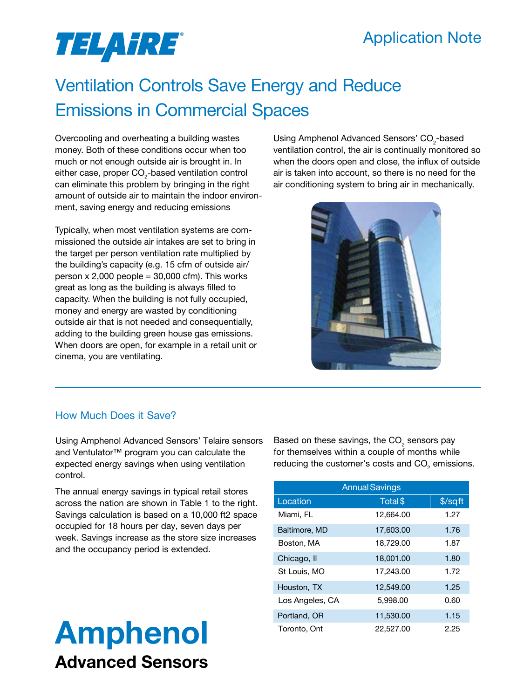### Application Note

# TELAHRE®

## Ventilation Controls Save Energy and Reduce Emissions in Commercial Spaces

Overcooling and overheating a building wastes money. Both of these conditions occur when too much or not enough outside air is brought in. In either case, proper CO<sub>2</sub>-based ventilation control can eliminate this problem by bringing in the right amount of outside air to maintain the indoor environment, saving energy and reducing emissions

Typically, when most ventilation systems are commissioned the outside air intakes are set to bring in the target per person ventilation rate multiplied by the building's capacity (e.g. 15 cfm of outside air/ person  $x 2,000$  people = 30,000 cfm). This works great as long as the building is always filled to capacity. When the building is not fully occupied, money and energy are wasted by conditioning outside air that is not needed and consequentially, adding to the building green house gas emissions. When doors are open, for example in a retail unit or cinema, you are ventilating.

Using Amphenol Advanced Sensors' CO $_{\textrm{\tiny{2}}}$ -based ventilation control, the air is continually monitored so when the doors open and close, the influx of outside air is taken into account, so there is no need for the air conditioning system to bring air in mechanically.



### How Much Does it Save?

Using Amphenol Advanced Sensors' Telaire sensors and Ventulator™ program you can calculate the expected energy savings when using ventilation control.

The annual energy savings in typical retail stores across the nation are shown in Table 1 to the right. Savings calculation is based on a 10,000 ft2 space occupied for 18 hours per day, seven days per week. Savings increase as the store size increases and the occupancy period is extended.

# Amphenol Advanced Sensors

Based on these savings, the CO $_{_2}$  sensors pay for themselves within a couple of months while reducing the customer's costs and CO<sub>2</sub> emissions.

| <b>Annual Savings</b> |           |         |
|-----------------------|-----------|---------|
| Location              | Total \$  | \$/sqft |
| Miami, FL             | 12,664.00 | 1.27    |
| Baltimore, MD         | 17,603,00 | 1.76    |
| Boston, MA            | 18,729.00 | 1.87    |
| Chicago, II           | 18,001.00 | 1.80    |
| St Louis, MO          | 17,243.00 | 1.72    |
| Houston, TX           | 12,549.00 | 1.25    |
| Los Angeles, CA       | 5.998.00  | 0.60    |
| Portland, OR          | 11.530.00 | 1.15    |
| Toronto, Ont          | 22,527.00 | 2.25    |